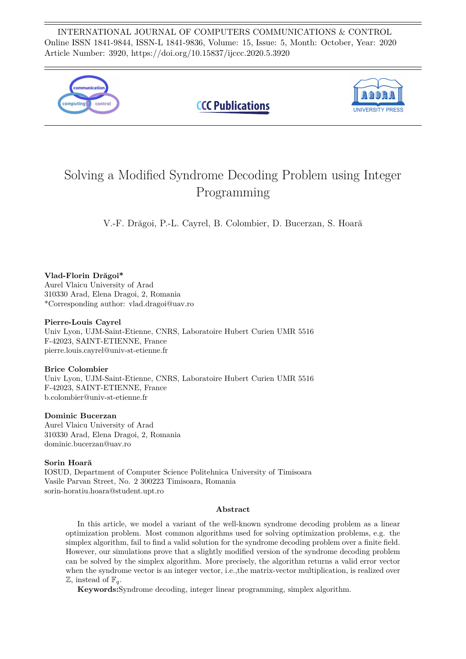INTERNATIONAL JOURNAL OF COMPUTERS COMMUNICATIONS & CONTROL Online ISSN 1841-9844, ISSN-L 1841-9836, Volume: 15, Issue: 5, Month: October, Year: 2020 Article Number: 3920, https://doi.org/10.15837/ijccc.2020.5.3920



# Solving a Modified Syndrome Decoding Problem using Integer Programming

V.-F. Drăgoi, P.-L. Cayrel, B. Colombier, D. Bucerzan, S. Hoară

## **Vlad-Florin Drăgoi\***

Aurel Vlaicu University of Arad 310330 Arad, Elena Dragoi, 2, Romania \*Corresponding author: vlad.dragoi@uav.ro

#### **Pierre-Louis Cayrel**

Univ Lyon, UJM-Saint-Etienne, CNRS, Laboratoire Hubert Curien UMR 5516 F-42023, SAINT-ETIENNE, France pierre.louis.cayrel@univ-st-etienne.fr

## **Brice Colombier**

Univ Lyon, UJM-Saint-Etienne, CNRS, Laboratoire Hubert Curien UMR 5516 F-42023, SAINT-ETIENNE, France b.colombier@univ-st-etienne.fr

## **Dominic Bucerzan**

Aurel Vlaicu University of Arad 310330 Arad, Elena Dragoi, 2, Romania dominic.bucerzan@uav.ro

## **Sorin Hoară**

IOSUD, Department of Computer Science Politehnica University of Timisoara Vasile Parvan Street, No. 2 300223 Timisoara, Romania sorin-horatiu.hoara@student.upt.ro

#### **Abstract**

In this article, we model a variant of the well-known syndrome decoding problem as a linear optimization problem. Most common algorithms used for solving optimization problems, e.g. the simplex algorithm, fail to find a valid solution for the syndrome decoding problem over a finite field. However, our simulations prove that a slightly modified version of the syndrome decoding problem can be solved by the simplex algorithm. More precisely, the algorithm returns a valid error vector when the syndrome vector is an integer vector, i.e., the matrix-vector multiplication, is realized over  $\mathbb{Z}$ , instead of  $\mathbb{F}_q$ .

**Keywords:**Syndrome decoding, integer linear programming, simplex algorithm.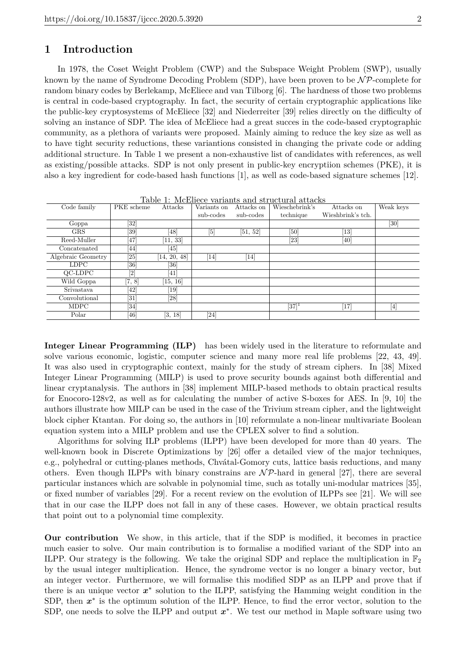# **1 Introduction**

In 1978, the Coset Weight Problem (CWP) and the Subspace Weight Problem (SWP), usually known by the name of Syndrome Decoding Problem (SDP), have been proven to be  $\mathcal{NP}$ -complete for random binary codes by Berlekamp, McEliece and van Tilborg [6]. The hardness of those two problems is central in code-based cryptography. In fact, the security of certain cryptographic applications like the public-key cryptosystems of McEliece [32] and Niederreiter [39] relies directly on the difficulty of solving an instance of SDP. The idea of McEliece had a great succes in the code-based cryptographic community, as a plethora of variants were proposed. Mainly aiming to reduce the key size as well as to have tight security reductions, these variantions consisted in changing the private code or adding additional structure. In Table 1 we present a non-exhaustive list of candidates with references, as well as existing/possible attacks. SDP is not only present in public-key encryptiion schemes (PKE), it is also a key ingredient for code-based hash functions [1], as well as code-based signature schemes [12].

| Table 1. McEllece variants and structural attacks |                                                                                                                                                               |                   |                  |            |                     |                   |           |  |
|---------------------------------------------------|---------------------------------------------------------------------------------------------------------------------------------------------------------------|-------------------|------------------|------------|---------------------|-------------------|-----------|--|
| Code family                                       | PKE scheme                                                                                                                                                    | Attacks           | Variants on      | Attacks on | Wieschebrink's      | Attacks on        | Weak keys |  |
|                                                   |                                                                                                                                                               |                   | sub-codes        | sub-codes  | technique           | Wieshbrink's tch. |           |  |
| Goppa                                             | [32]                                                                                                                                                          |                   |                  |            |                     |                   | [30]      |  |
| <b>GRS</b>                                        | [39]                                                                                                                                                          | 481               | $\overline{[5]}$ | [51, 52]   | [50]                | $\left[13\right]$ |           |  |
| Reed-Muller                                       | 47                                                                                                                                                            | [11, 33]          |                  |            | [23]                | [40]              |           |  |
| Concatenated                                      | 44                                                                                                                                                            | 45                |                  |            |                     |                   |           |  |
| Algebraic Geometry                                | [25]                                                                                                                                                          | [14, 20, 48]      | 14               | [14]       |                     |                   |           |  |
| LDPC.                                             | [36]                                                                                                                                                          | [36]              |                  |            |                     |                   |           |  |
| QC-LDPC                                           | $[2] % \includegraphics[width=0.9\columnwidth]{figures/fig_2.pdf} \caption{Schematic diagram of the top of the top of the top of the right.} \label{fig:2} %$ | 41                |                  |            |                     |                   |           |  |
| Wild Goppa                                        | [7, 8]                                                                                                                                                        | [15, 16]          |                  |            |                     |                   |           |  |
| Srivastava                                        | 42                                                                                                                                                            | $\left[19\right]$ |                  |            |                     |                   |           |  |
| Convolutional                                     | [31]                                                                                                                                                          | [28]              |                  |            |                     |                   |           |  |
| <b>MDPC</b>                                       | [34]                                                                                                                                                          |                   |                  |            | $\overline{[37]^1}$ | [17]              | $[4]$     |  |
| Polar                                             | [46]                                                                                                                                                          | [3, 18]           | [24]             |            |                     |                   |           |  |

Table 1: McEliece variants and structural attacks

**Integer Linear Programming (ILP)** has been widely used in the literature to reformulate and solve various economic, logistic, computer science and many more real life problems [22, 43, 49]. It was also used in cryptographic context, mainly for the study of stream ciphers. In [38] Mixed Integer Linear Programming (MILP) is used to prove security bounds against both differential and linear cryptanalysis. The authors in [38] implement MILP-based methods to obtain practical results for Enocoro-128v2, as well as for calculating the number of active S-boxes for AES. In [9, 10] the authors illustrate how MILP can be used in the case of the Trivium stream cipher, and the lightweight block cipher Ktantan. For doing so, the authors in [10] reformulate a non-linear multivariate Boolean equation system into a MILP problem and use the CPLEX solver to find a solution.

Algorithms for solving ILP problems (ILPP) have been developed for more than 40 years. The well-known book in Discrete Optimizations by [26] offer a detailed view of the major techniques, e.g., polyhedral or cutting-planes methods, Chvátal-Gomory cuts, lattice basis reductions, and many others. Even though ILPPs with binary constrains are  $N\mathcal{P}$ -hard in general [27], there are several particular instances which are solvable in polynomial time, such as totally uni-modular matrices [35], or fixed number of variables [29]. For a recent review on the evolution of ILPPs see [21]. We will see that in our case the ILPP does not fall in any of these cases. However, we obtain practical results that point out to a polynomial time complexity.

**Our contribution** We show, in this article, that if the SDP is modified, it becomes in practice much easier to solve. Our main contribution is to formalise a modified variant of the SDP into an ILPP. Our strategy is the following. We take the original SDP and replace the multiplication in  $\mathbb{F}_2$ by the usual integer multiplication. Hence, the syndrome vector is no longer a binary vector, but an integer vector. Furthermore, we will formalise this modified SDP as an ILPP and prove that if there is an unique vector  $x^*$  solution to the ILPP, satisfying the Hamming weight condition in the SDP, then  $x^*$  is the optimum solution of the ILPP. Hence, to find the error vector, solution to the SDP, one needs to solve the ILPP and output  $x^*$ . We test our method in Maple software using two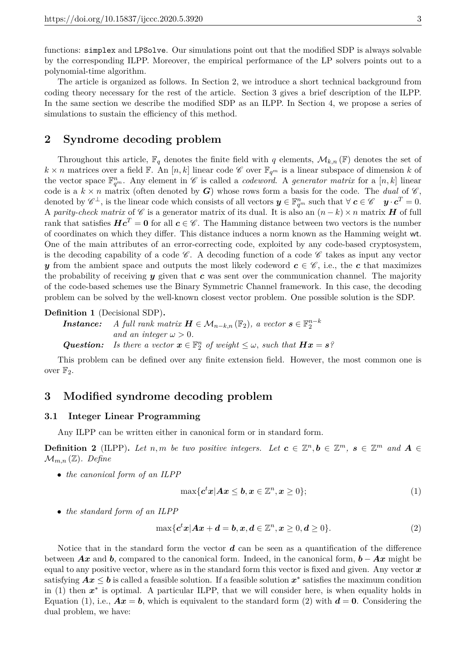functions: simplex and LPSolve. Our simulations point out that the modified SDP is always solvable by the corresponding ILPP. Moreover, the empirical performance of the LP solvers points out to a polynomial-time algorithm.

The article is organized as follows. In Section 2, we introduce a short technical background from coding theory necessary for the rest of the article. Section 3 gives a brief description of the ILPP. In the same section we describe the modified SDP as an ILPP. In Section 4, we propose a series of simulations to sustain the efficiency of this method.

# **2 Syndrome decoding problem**

Throughout this article,  $\mathbb{F}_q$  denotes the finite field with q elements,  $\mathcal{M}_{k,n}(\mathbb{F})$  denotes the set of  $k \times n$  matrices over a field  $\mathbb{F}$ . An  $[n, k]$  linear code  $\mathscr{C}$  over  $\mathbb{F}_{q^m}$  is a linear subspace of dimension *k* of the vector space  $\mathbb{F}_{q^m}^n$ . Any element in  $\mathscr{C}$  is called a *codeword*. A *generator matrix* for a [n, k] linear code is a  $k \times n$  matrix (often denoted by *G*) whose rows form a basis for the code. The *dual* of  $\mathscr{C}$ , denoted by  $\mathscr{C}^{\perp}$ , is the linear code which consists of all vectors  $\mathbf{y} \in \mathbb{F}_{q^m}^n$  such that  $\forall \mathbf{c} \in \mathscr{C}$   $\mathbf{y} \cdot \mathbf{c}^T = 0$ . A *parity-check matrix* of  $\mathscr C$  is a generator matrix of its dual. It is also an  $(n-k) \times n$  matrix *H* of full rank that satisfies  $Hc^T = 0$  for all  $c \in \mathscr{C}$ . The Hamming distance between two vectors is the number of coordinates on which they differ. This distance induces a norm known as the Hamming weight wt. One of the main attributes of an error-correcting code, exploited by any code-based cryptosystem, is the decoding capability of a code  $\mathscr{C}$ . A decoding function of a code  $\mathscr{C}$  takes as input any vector *y* from the ambient space and outputs the most likely codeword  $c \in \mathscr{C}$ , i.e., the *c* that maximizes the probability of receiving *y* given that *c* was sent over the communication channel. The majority of the code-based schemes use the Binary Symmetric Channel framework. In this case, the decoding problem can be solved by the well-known closest vector problem. One possible solution is the SDP.

#### **Definition 1** (Decisional SDP)**.**

```
Instance: A full rank matrix \boldsymbol{H} \in \mathcal{M}_{n-k,n}(\mathbb{F}_2), a vector \boldsymbol{s} \in \mathbb{F}_2^{n-k}and an integer \omega > 0.
Question: Is there a vector \mathbf{x} \in \mathbb{F}_2^n of weight \leq \omega, such that \mathbf{H}\mathbf{x} = \mathbf{s}?
```
This problem can be defined over any finite extension field. However, the most common one is over  $\mathbb{F}_2$ .

# **3 Modified syndrome decoding problem**

### **3.1 Integer Linear Programming**

Any ILPP can be written either in canonical form or in standard form.

**Definition 2** (ILPP). Let *n,m* be two positive integers. Let  $c \in \mathbb{Z}^n, b \in \mathbb{Z}^m$ ,  $s \in \mathbb{Z}^m$  and  $A \in$  $\mathcal{M}_{m,n}(\mathbb{Z})$ . Define

• *the canonical form of an ILPP*

$$
\max\{c^t x | Ax \leq b, x \in \mathbb{Z}^n, x \geq 0\};\tag{1}
$$

• *the standard form of an ILPP*

$$
\max\{c^t x | Ax + d = b, x, d \in \mathbb{Z}^n, x \ge 0, d \ge 0\}.
$$
\n(2)

Notice that in the standard form the vector *d* can be seen as a quantification of the difference between *Ax* and *b*, compared to the canonical form. Indeed, in the canonical form, *b* − *Ax* might be equal to any positive vector, where as in the standard form this vector is fixed and given. Any vector  $x$ satisfying  $Ax \leq b$  is called a feasible solution. If a feasible solution  $x^*$  satisfies the maximum condition in (1) then  $x^*$  is optimal. A particular ILPP, that we will consider here, is when equality holds in Equation (1), i.e.,  $Ax = b$ , which is equivalent to the standard form (2) with  $d = 0$ . Considering the dual problem, we have: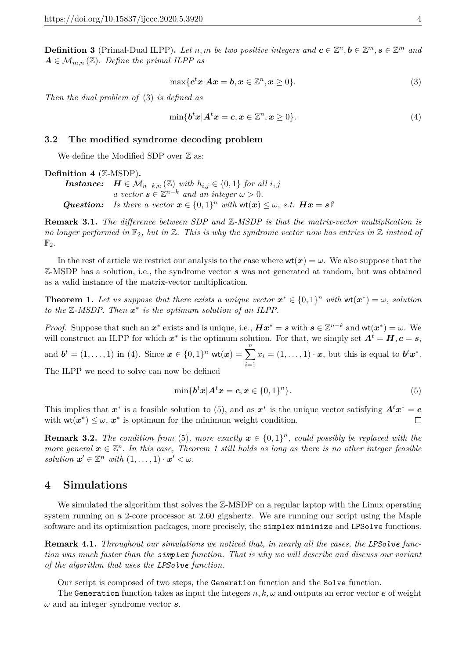**Definition 3** (Primal-Dual ILPP). Let *n, m be two positive integers and*  $c \in \mathbb{Z}^n, b \in \mathbb{Z}^m, s \in \mathbb{Z}^m$  and  $A \in \mathcal{M}_{m,n}(\mathbb{Z})$ *. Define the primal ILPP as* 

$$
\max\{c^t x | Ax = b, x \in \mathbb{Z}^n, x \ge 0\}.
$$
\n(3)

*Then the dual problem of* (3) *is defined as*

$$
\min\{\mathbf{b}^t\mathbf{x}|\mathbf{A}^t\mathbf{x}=\mathbf{c}, \mathbf{x}\in\mathbb{Z}^n, \mathbf{x}\geq 0\}.
$$
\n<sup>(4)</sup>

#### **3.2 The modified syndrome decoding problem**

We define the Modified SDP over  $\mathbb Z$  as:

#### **Definition 4** (Z-MSDP)**.**

*Instance: H* ∈  $\mathcal{M}_{n-k,n}(\mathbb{Z})$  *with*  $h_{i,j}$  ∈ {0, 1} *for all i, j a* vector  $s \in \mathbb{Z}^{n-k}$  *and an integer*  $\omega > 0$ *. Question: Is there a vector*  $\mathbf{x} \in \{0,1\}^n$  *with*  $\mathsf{wt}(\mathbf{x}) \leq \omega$ , *s.t.*  $\mathbf{H}\mathbf{x} = \mathbf{s}$ ?

**Remark 3.1.** *The difference between SDP and* Z*-MSDP is that the matrix-vector multiplication is no longer performed in* F2*, but in* Z*. This is why the syndrome vector now has entries in* Z *instead of*  $\mathbb{F}_2$ .

In the rest of article we restrict our analysis to the case where  $wt(x) = \omega$ . We also suppose that the Z-MSDP has a solution, i.e., the syndrome vector *s* was not generated at random, but was obtained as a valid instance of the matrix-vector multiplication.

**Theorem 1.** Let us suppose that there exists a unique vector  $x^* \in \{0,1\}^n$  with  $wt(x^*) = \omega$ , solution *to the* Z*-MSDP. Then x* ∗ *is the optimum solution of an ILPP.*

*Proof.* Suppose that such an  $x^*$  exists and is unique, i.e.,  $H x^* = s$  with  $s \in \mathbb{Z}^{n-k}$  and  $\mathsf{wt}(x^*) = \omega$ . We will construct an ILPP for which  $x^*$  is the optimum solution. For that, we simply set  $A^t = H, c = s$ , and  $\mathbf{b}^t = (1, \ldots, 1)$  in (4). Since  $\mathbf{x} \in \{0, 1\}^n$  wt $(\mathbf{x}) = \sum_{n=1}^n$ *i*=1  $x_i = (1, \ldots, 1) \cdot x$ , but this is equal to  $b^t x^*$ .

The ILPP we need to solve can now be defined

$$
\min\{\mathbf{b}^t\mathbf{x}|\mathbf{A}^t\mathbf{x}=\mathbf{c}, \mathbf{x}\in\{0,1\}^n\}.
$$
\n
$$
(5)
$$

This implies that  $x^*$  is a feasible solution to (5), and as  $x^*$  is the unique vector satisfying  $A^t x^* = c$ with  $wt(x^*) \leq \omega$ ,  $x^*$  is optimum for the minimum weight condition.  $\Box$ 

**Remark 3.2.** *The condition from* (5), more exactly  $x \in \{0,1\}^n$ , could possibly be replaced with the *more general*  $x \in \mathbb{Z}^n$ . In this case, Theorem 1 still holds as long as there is no other integer feasible *solution*  $\mathbf{x}' \in \mathbb{Z}^n$  *with*  $(1, \ldots, 1) \cdot \mathbf{x}' < \omega$ .

# **4 Simulations**

We simulated the algorithm that solves the Z-MSDP on a regular laptop with the Linux operating system running on a 2-core processor at 2.60 gigahertz. We are running our script using the Maple software and its optimization packages, more precisely, the simplex minimize and LPSolve functions.

**Remark 4.1.** *Throughout our simulations we noticed that, in nearly all the cases, the LPSolve function was much faster than the simplex function. That is why we will describe and discuss our variant of the algorithm that uses the LPSolve function.*

Our script is composed of two steps, the Generation function and the Solve function.

The Generation function takes as input the integers  $n, k, \omega$  and outputs an error vector  $e$  of weight *ω* and an integer syndrome vector *s*.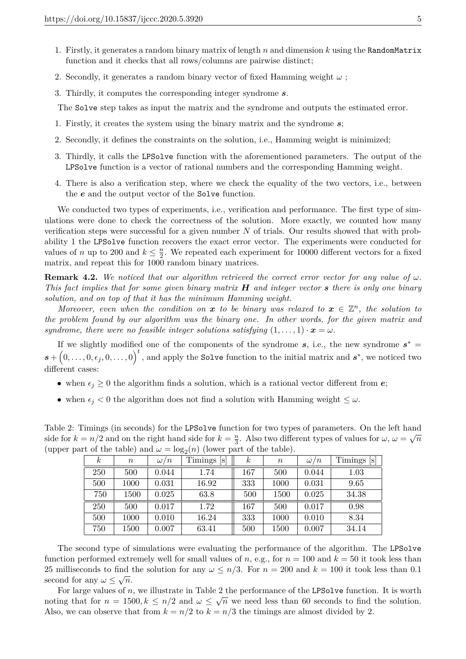- 1. Firstly, it generates a random binary matrix of length *n* and dimension *k* using the RandomMatrix function and it checks that all rows/columns are pairwise distinct;
- 2. Secondly, it generates a random binary vector of fixed Hamming weight *ω* ;
- 3. Thirdly, it computes the corresponding integer syndrome *s*.

The Solve step takes as input the matrix and the syndrome and outputs the estimated error.

- 1. Firstly, it creates the system using the binary matrix and the syndrome *s*;
- 2. Secondly, it defines the constraints on the solution, i.e., Hamming weight is minimized;
- 3. Thirdly, it calls the LPSolve function with the aforementioned parameters. The output of the LPSolve function is a vector of rational numbers and the corresponding Hamming weight.
- 4. There is also a verification step, where we check the equality of the two vectors, i.e., between the *e* and the output vector of the Solve function.

We conducted two types of experiments, i.e., verification and performance. The first type of simulations were done to check the correctness of the solution. More exactly, we counted how many verification steps were successful for a given number *N* of trials. Our results showed that with probability 1 the LPSolve function recovers the exact error vector. The experiments were conducted for values of *n* up to 200 and  $k \leq \frac{n}{2}$  $\frac{n}{2}$ . We repeated each experiment for 10000 different vectors for a fixed matrix, and repeat this for 1000 random binary matrices.

**Remark 4.2.** We noticed that our algorithm retrieved the correct error vector for any value of  $\omega$ . *This fact implies that for some given binary matrix H and integer vector s there is only one binary solution, and on top of that it has the minimum Hamming weight.*

*Moreover, even when the condition on*  $x$  *to be binary was relaxed to*  $x \in \mathbb{Z}^n$ *, the solution to the problem found by our algorithm was the binary one. In other words, for the given matrix and syndrome, there were no feasible integer solutions satisfying*  $(1, \ldots, 1) \cdot x = \omega$ .

If we slightly modified one of the components of the syndrome  $s$ , i.e., the new syndrome  $s^*$  $\mathbf{s} + (0, \ldots, 0, \epsilon_j, 0, \ldots, 0)$ <sup>t</sup>, and apply the Solve function to the initial matrix and  $\mathbf{s}^*$ , we noticed two different cases:

- when  $\epsilon_j \geq 0$  the algorithm finds a solution, which is a rational vector different from *e*;
- when  $\epsilon_j < 0$  the algorithm does not find a solution with Hamming weight  $\leq \omega$ .

Table 2: Timings (in seconds) for the LPSolve function for two types of parameters. On the left hand side for  $k = n/2$  and on the right hand side for  $k = \frac{n}{3}$  $\frac{n}{3}$ . Also two different types of values for  $\omega, \omega = \sqrt{n}$ (upper part of the table) and  $\omega = \log_2(n)$  (lower part of the table).

|          |         | UZ V       |                           |          |                  |            |                        |
|----------|---------|------------|---------------------------|----------|------------------|------------|------------------------|
| $\kappa$ | $\it n$ | $\omega/n$ | Timings<br>$ \mathbf{s} $ | $\kappa$ | $\boldsymbol{n}$ | $\omega/n$ | Timings<br>$ {\bf s} $ |
| 250      | 500     | 0.044      | 1.74                      | 167      | 500              | 0.044      | 1.03                   |
| 500      | 1000    | 0.031      | 16.92                     | 333      | 1000             | 0.031      | 9.65                   |
| 750      | 1500    | 0.025      | 63.8                      | 500      | 1500             | 0.025      | 34.38                  |
| 250      | 500     | 0.017      | 1.72                      | 167      | 500              | 0.017      | 0.98                   |
| 500      | 1000    | 0.010      | 16.24                     | 333      | 1000             | 0.010      | 8.34                   |
| 750      | 1500    | 0.007      | 63.41                     | 500      | 1500             | 0.007      | 34.14                  |

The second type of simulations were evaluating the performance of the algorithm. The LPSolve function performed extremely well for small values of *n*, e.g., for  $n = 100$  and  $k = 50$  it took less than 25 milliseconds to find the solution for any  $\omega \leq n/3$ . For  $n = 200$  and  $k = 100$  it took less than 0.1 second for any  $\omega \leq \sqrt{n}$ .

For large values of *n*, we illustrate in Table 2 the performance of the LPSolve function. It is worth noting that for  $n = 1500, k \leq n/2$  and  $\omega \leq \sqrt{n}$  we need less than 60 seconds to find the solution. Also, we can observe that from  $k = n/2$  to  $k = n/3$  the timings are almost divided by 2.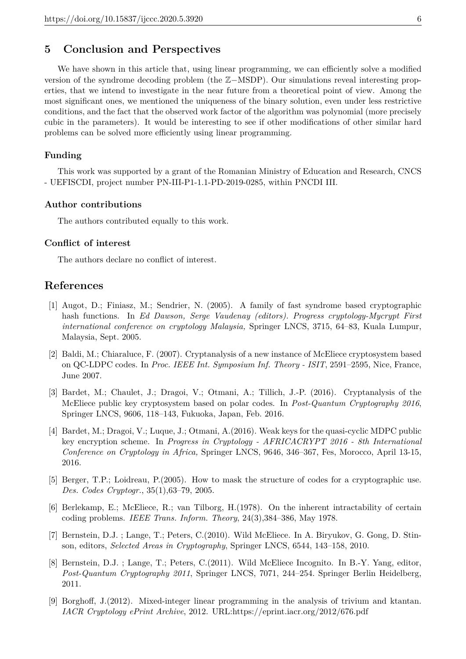# **5 Conclusion and Perspectives**

We have shown in this article that, using linear programming, we can efficiently solve a modified version of the syndrome decoding problem (the Z−MSDP). Our simulations reveal interesting properties, that we intend to investigate in the near future from a theoretical point of view. Among the most significant ones, we mentioned the uniqueness of the binary solution, even under less restrictive conditions, and the fact that the observed work factor of the algorithm was polynomial (more precisely cubic in the parameters). It would be interesting to see if other modifications of other similar hard problems can be solved more efficiently using linear programming.

#### **Funding**

This work was supported by a grant of the Romanian Ministry of Education and Research, CNCS - UEFISCDI, project number PN-III-P1-1.1-PD-2019-0285, within PNCDI III.

#### **Author contributions**

The authors contributed equally to this work.

#### **Conflict of interest**

The authors declare no conflict of interest.

## **References**

- [1] Augot, D.; Finiasz, M.; Sendrier, N. (2005). A family of fast syndrome based cryptographic hash functions. In *Ed Dawson, Serge Vaudenay (editors). Progress cryptology-Mycrypt First international conference on cryptology Malaysia,* Springer LNCS, 3715, 64–83, Kuala Lumpur, Malaysia, Sept. 2005.
- [2] Baldi, M.; Chiaraluce, F. (2007). Cryptanalysis of a new instance of McEliece cryptosystem based on QC-LDPC codes. In *Proc. IEEE Int. Symposium Inf. Theory - ISIT*, 2591–2595, Nice, France, June 2007.
- [3] Bardet, M.; Chaulet, J.; Dragoi, V.; Otmani, A.; Tillich, J.-P. (2016). Cryptanalysis of the McEliece public key cryptosystem based on polar codes. In *Post-Quantum Cryptography 2016*, Springer LNCS, 9606, 118–143, Fukuoka, Japan, Feb. 2016.
- [4] Bardet, M.; Dragoi, V.; Luque, J.; Otmani, A.(2016). Weak keys for the quasi-cyclic MDPC public key encryption scheme. In *Progress in Cryptology - AFRICACRYPT 2016 - 8th International Conference on Cryptology in Africa,* Springer LNCS, 9646, 346–367, Fes, Morocco, April 13-15, 2016.
- [5] Berger, T.P.; Loidreau, P.(2005). How to mask the structure of codes for a cryptographic use. *Des. Codes Cryptogr.*, 35(1),63–79, 2005.
- [6] Berlekamp, E.; McEliece, R.; van Tilborg, H.(1978). On the inherent intractability of certain coding problems. *IEEE Trans. Inform. Theory*, 24(3),384–386, May 1978.
- [7] Bernstein, D.J. ; Lange, T.; Peters, C.(2010). Wild McEliece. In A. Biryukov, G. Gong, D. Stinson, editors, *Selected Areas in Cryptography*, Springer LNCS, 6544, 143–158, 2010.
- [8] Bernstein, D.J. ; Lange, T.; Peters, C.(2011). Wild McEliece Incognito. In B.-Y. Yang, editor, *Post-Quantum Cryptography 2011*, Springer LNCS, 7071, 244–254. Springer Berlin Heidelberg, 2011.
- [9] Borghoff, J.(2012). Mixed-integer linear programming in the analysis of trivium and ktantan. *IACR Cryptology ePrint Archive*, 2012. URL:https://eprint.iacr.org/2012/676.pdf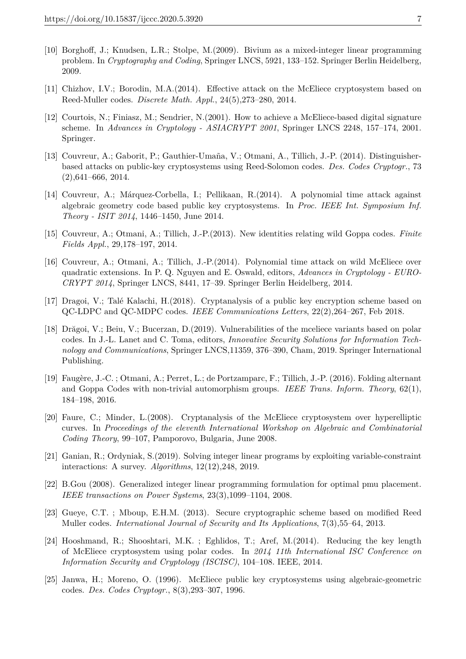- [10] Borghoff, J.; Knudsen, L.R.; Stolpe, M.(2009). Bivium as a mixed-integer linear programming problem. In *Cryptography and Coding*, Springer LNCS, 5921, 133–152. Springer Berlin Heidelberg, 2009.
- [11] Chizhov, I.V.; Borodin, M.A.(2014). Effective attack on the McEliece cryptosystem based on Reed-Muller codes. *Discrete Math. Appl.*, 24(5),273–280, 2014.
- [12] Courtois, N.; Finiasz, M.; Sendrier, N.(2001). How to achieve a McEliece-based digital signature scheme. In *Advances in Cryptology - ASIACRYPT 2001*, Springer LNCS 2248, 157–174, 2001. Springer.
- [13] Couvreur, A.; Gaborit, P.; Gauthier-Umaña, V.; Otmani, A., Tillich, J.-P. (2014). Distinguisherbased attacks on public-key cryptosystems using Reed-Solomon codes. *Des. Codes Cryptogr.*, 73 (2),641–666, 2014.
- [14] Couvreur, A.; Márquez-Corbella, I.; Pellikaan, R.(2014). A polynomial time attack against algebraic geometry code based public key cryptosystems. In *Proc. IEEE Int. Symposium Inf. Theory - ISIT 2014*, 1446–1450, June 2014.
- [15] Couvreur, A.; Otmani, A.; Tillich, J.-P.(2013). New identities relating wild Goppa codes. *Finite Fields Appl.*, 29,178–197, 2014.
- [16] Couvreur, A.; Otmani, A.; Tillich, J.-P.(2014). Polynomial time attack on wild McEliece over quadratic extensions. In P. Q. Nguyen and E. Oswald, editors, *Advances in Cryptology - EURO-CRYPT 2014*, Springer LNCS, 8441, 17–39. Springer Berlin Heidelberg, 2014.
- [17] Dragoi, V.; Talé Kalachi, H.(2018). Cryptanalysis of a public key encryption scheme based on QC-LDPC and QC-MDPC codes. *IEEE Communications Letters*, 22(2),264–267, Feb 2018.
- [18] Drăgoi, V.; Beiu, V.; Bucerzan, D.(2019). Vulnerabilities of the mceliece variants based on polar codes. In J.-L. Lanet and C. Toma, editors, *Innovative Security Solutions for Information Technology and Communications*, Springer LNCS,11359, 376–390, Cham, 2019. Springer International Publishing.
- [19] Faugère, J.-C. ; Otmani, A.; Perret, L.; de Portzamparc, F.; Tillich, J.-P. (2016). Folding alternant and Goppa Codes with non-trivial automorphism groups. *IEEE Trans. Inform. Theory*, 62(1), 184–198, 2016.
- [20] Faure, C.; Minder, L.(2008). Cryptanalysis of the McEliece cryptosystem over hyperelliptic curves. In *Proceedings of the eleventh International Workshop on Algebraic and Combinatorial Coding Theory*, 99–107, Pamporovo, Bulgaria, June 2008.
- [21] Ganian, R.; Ordyniak, S.(2019). Solving integer linear programs by exploiting variable-constraint interactions: A survey. *Algorithms*, 12(12),248, 2019.
- [22] B.Gou (2008). Generalized integer linear programming formulation for optimal pmu placement. *IEEE transactions on Power Systems*, 23(3),1099–1104, 2008.
- [23] Gueye, C.T. ; Mboup, E.H.M. (2013). Secure cryptographic scheme based on modified Reed Muller codes. *International Journal of Security and Its Applications*, 7(3),55–64, 2013.
- [24] Hooshmand, R.; Shooshtari, M.K. ; Eghlidos, T.; Aref, M.(2014). Reducing the key length of McEliece cryptosystem using polar codes. In *2014 11th International ISC Conference on Information Security and Cryptology (ISCISC)*, 104–108. IEEE, 2014.
- [25] Janwa, H.; Moreno, O. (1996). McEliece public key cryptosystems using algebraic-geometric codes. *Des. Codes Cryptogr.*, 8(3),293–307, 1996.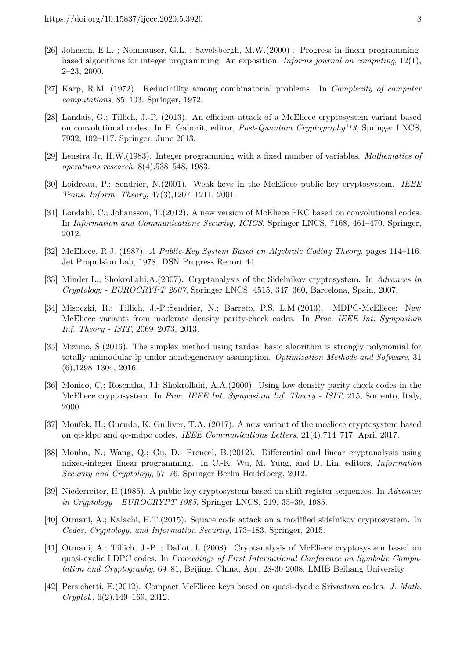- [26] Johnson, E.L. ; Nemhauser, G.L. ; Savelsbergh, M.W.(2000) . Progress in linear programmingbased algorithms for integer programming: An exposition. *Informs journal on computing*, 12(1), 2–23, 2000.
- [27] Karp, R.M. (1972). Reducibility among combinatorial problems. In *Complexity of computer computations*, 85–103. Springer, 1972.
- [28] Landais, G.; Tillich, J.-P. (2013). An efficient attack of a McEliece cryptosystem variant based on convolutional codes. In P. Gaborit, editor, *Post-Quantum Cryptography'13*, Springer LNCS, 7932, 102–117. Springer, June 2013.
- [29] Lenstra Jr, H.W.(1983). Integer programming with a fixed number of variables. *Mathematics of operations research*, 8(4),538–548, 1983.
- [30] Loidreau, P.; Sendrier, N.(2001). Weak keys in the McEliece public-key cryptosystem. *IEEE Trans. Inform. Theory*, 47(3),1207–1211, 2001.
- [31] Löndahl, C.; Johansson, T.(2012). A new version of McEliece PKC based on convolutional codes. In *Information and Communications Security, ICICS*, Springer LNCS, 7168, 461–470. Springer, 2012.
- [32] McEliece, R.J. (1987). *A Public-Key System Based on Algebraic Coding Theory*, pages 114–116. Jet Propulsion Lab, 1978. DSN Progress Report 44.
- [33] Minder,L.; Shokrollahi,A.(2007). Cryptanalysis of the Sidelnikov cryptosystem. In *Advances in Cryptology - EUROCRYPT 2007*, Springer LNCS, 4515, 347–360, Barcelona, Spain, 2007.
- [34] Misoczki, R.; Tillich, J.-P.;Sendrier, N.; Barreto, P.S. L.M.(2013). MDPC-McEliece: New McEliece variants from moderate density parity-check codes. In *Proc. IEEE Int. Symposium Inf. Theory - ISIT*, 2069–2073, 2013.
- [35] Mizuno, S.(2016). The simplex method using tardos' basic algorithm is strongly polynomial for totally unimodular lp under nondegeneracy assumption. *Optimization Methods and Software*, 31  $(6)$ ,1298–1304, 2016.
- [36] Monico, C.; Rosentha, J.l; Shokrollahi, A.A.(2000). Using low density parity check codes in the McEliece cryptosystem. In *Proc. IEEE Int. Symposium Inf. Theory - ISIT*, 215, Sorrento, Italy, 2000.
- [37] Moufek, H.; Guenda, K. Gulliver, T.A. (2017). A new variant of the mceliece cryptosystem based on qc-ldpc and qc-mdpc codes. *IEEE Communications Letters*, 21(4),714–717, April 2017.
- [38] Mouha, N.; Wang, Q.; Gu, D.; Preneel, B.(2012). Differential and linear cryptanalysis using mixed-integer linear programming. In C.-K. Wu, M. Yung, and D. Lin, editors, *Information Security and Cryptology*, 57–76. Springer Berlin Heidelberg, 2012.
- [39] Niederreiter, H.(1985). A public-key cryptosystem based on shift register sequences. In *Advances in Cryptology - EUROCRYPT 1985*, Springer LNCS, 219, 35–39, 1985.
- [40] Otmani, A.; Kalachi, H.T.(2015). Square code attack on a modified sidelnikov cryptosystem. In *Codes, Cryptology, and Information Security*, 173–183. Springer, 2015.
- [41] Otmani, A.; Tillich, J.-P. ; Dallot, L.(2008). Cryptanalysis of McEliece cryptosystem based on quasi-cyclic LDPC codes. In *Proceedings of First International Conference on Symbolic Computation and Cryptography*, 69–81, Beijing, China, Apr. 28-30 2008. LMIB Beihang University.
- [42] Persichetti, E.(2012). Compact McEliece keys based on quasi-dyadic Srivastava codes. *J. Math. Cryptol.*, 6(2),149–169, 2012.